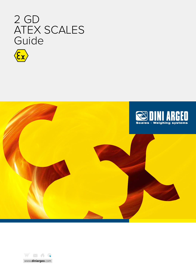





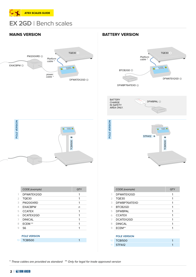

# **EX 2GD** Bench scales



## **MAINS VERSION BATTERY VERSION**



DFWBP76ATEXD **3**







|                                | C<br>IN SAFETY<br>AREA ONLY. |                                                    |
|--------------------------------|------------------------------|----------------------------------------------------|
|                                |                              |                                                    |
| 0000.0<br>TCBI500 <sup>5</sup> | POLE VERSION                 | <b>O DOOD</b><br>STFA12 11<br>TCBI500 <sup>5</sup> |

|                | CODE (example)      | QTY |
|----------------|---------------------|-----|
| 1              | DFWATEX2GD          | 1   |
| $\overline{2}$ | <b>TQE30</b>        | 1   |
| 3              | PW200XRD            | 1   |
| 4              | <b>EXACBPW</b>      | n   |
| 5              | <b>CCATEX</b>       | 1   |
| 6              | DCATEX2GD           | 1   |
| 7              | <b>DINICAL</b>      | 1   |
| 8              | ECEM <sup>**</sup>  | 1   |
| 9              | S6                  | 1   |
|                |                     |     |
|                | <b>POLE VERSION</b> |     |
| 10             | <b>TCBI500</b>      | 1   |
|                |                     |     |

|                 | CODE (example)      | <b>QTY</b> |
|-----------------|---------------------|------------|
| 1               | DFWATEX2GD          | 1          |
| 2               | TQE30               | 1          |
| 3               | DFWBP76ATEXD        | 1          |
| 4               | BTCB2GD             | 1          |
| 5               | <b>DFWBPAL</b>      | 1          |
| 6               | <b>CCATEX</b>       | 1          |
| 7               | DCATEX2GD           | 1          |
| 8               | <b>DINICAL</b>      | 1          |
| 9               | ECEM**              |            |
|                 |                     |            |
|                 | <b>POLE VERSION</b> |            |
| 10 <sup>°</sup> | <b>TCBI500</b>      |            |



\* These cables are provided as standard \*\* Only for legal for trade approved version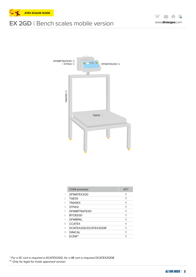

# **EX 2GD** Bench scales mobile version





|                | CODE (example)        | QTY |
|----------------|-----------------------|-----|
| 1              | DFWATEX2GD            | 1   |
| $\overline{2}$ | <b>TQE30</b>          |     |
| 3              | TA60IEX               |     |
| 4              | STFA <sub>12</sub>    |     |
| 5              | DEWBP76ATEXD          |     |
| 6              | BTCB2GD               |     |
|                | <b>DEWBPAL</b>        |     |
| 8              | <b>CCATEX</b>         |     |
| 9              | DCATEX2GD/DCATEX2GDB* |     |
| 10             | <b>DINICAL</b>        |     |
| 11             | ECEM**                |     |

\* For a IIC cart is required a DCATEX2GD, for a IIB cart is required DCATEX2GDB \*\* Only for legal for trade approved version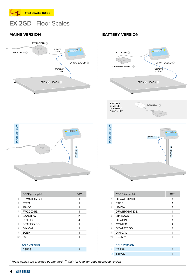

# **EX 2GD** Floor Scales





|                | CODE (example)      | QTY |
|----------------|---------------------|-----|
| 1              | DFWATEX2GD          | 1   |
| $\overline{2}$ | ETEI3               | 1   |
| 3              | JB4QA               | 1   |
| 4              | PW200XRD            | 1   |
| 5              | <b>EXACBPW</b>      | n   |
| 6              | <b>CCATEX</b>       | 4   |
| 7              | DCATEX2GD           | 1   |
| 8              | <b>DINICAL</b>      | 1   |
| 9              | ECEM**              | 1   |
| 10             | S6                  | 1   |
|                |                     |     |
|                | <b>POLE VERSION</b> |     |
| 11             | CSP38I              | 1   |

## **MAINS VERSION BATTERY VERSION**



|    | CODE (example) | <b>QTY</b> |
|----|----------------|------------|
|    | DFWATEX2GD     | 1          |
| 2  | ETEI3          |            |
| 3  | JB4QA          |            |
| 4  | DEWBP76ATEXD   |            |
| 5  | BTCB2GD        |            |
| 6  | <b>DFWBPAL</b> |            |
| 7  | <b>CCATEX</b>  | 4          |
| 8  | DCATEX2GD      | 1          |
| 9  | <b>DINICAL</b> |            |
| 10 | ECEM**         |            |
|    |                |            |

| <b>POLE VERSION</b> |  |
|---------------------|--|
| 11 CSP381           |  |
| 12 STFA12           |  |

\* These cables are provided as standard \*\* Only for legal for trade approved version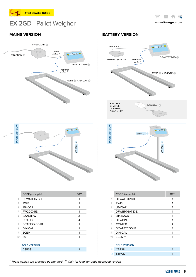

# **EX 2GD** Pallet Weigher

**XA**  $\bigoplus$ www.**diniargeo**.com



## **MAINS VERSION BATTERY VERSION**





|               | CODE (example)   | QTY |
|---------------|------------------|-----|
| 1             | DFWATEX2GD       | 1   |
| $\mathcal{P}$ | PW <sub>13</sub> |     |
| 3             | JB4QAP           | 1   |
| 4             | DFWBP76ATEXD     | 1   |
| 5             | BTCB2GD          |     |
| 6             | <b>DEWBPAL</b>   |     |
| 7             | <b>CCATEX</b>    | 4   |
| 8             | DCATEX2GDIIB     |     |
| 9             | <b>DINICAL</b>   |     |
| 10            | ECEM**           |     |
|               |                  |     |

## **Pole Version** 11 CSP38I 1 12 **STFA12**

\* These cables are provided as standard \*\* Only for legal for trade approved version

11 CSP38I 1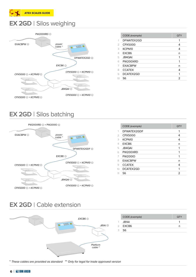

# **EX 2GD** Silos weighing



|    | CODE (example)     | QTY |
|----|--------------------|-----|
| 1  | DFWATEX2GD         | 1   |
| 2  | CPX5000            | 4   |
| 3  | KCPN <sub>10</sub> | 4   |
| 4  | FXCB <sub>6</sub>  | n   |
| 5  | <b>JB4QAI</b>      | 1   |
| 6  | PW200XRD           | 1   |
| 7  | <b>EXACBPW</b>     | n   |
| 8  | <b>CCATEX</b>      | 4   |
| 9  | DCATEX2GD          | 1   |
| 10 | S6                 | 2   |
|    |                    |     |

# **EX 2GD** Silos batching



|                | CODE (example)    | <b>QTY</b> |
|----------------|-------------------|------------|
| 1              | DFWATEX2GDF       | 1          |
| $\overline{2}$ | CPX5000           | 4          |
| 3              | KCPN10            | 4          |
| $\overline{4}$ | EXCB <sub>6</sub> | n          |
| 5              | <b>JB4QAI</b>     | 1          |
| 6              | PW200XRD          | 1          |
| 7              | <b>PW200IO</b>    | 1          |
| 8              | <b>FXACRPW</b>    | n          |
| 9              | <b>CCATEX</b>     | 4          |
| 10             | DCATEX2GD         | 1          |
| 11             | S6                | 2          |
|                |                   |            |

# **EX 2GD** Cable extension



\* These cables are provided as standard \*\* Only for legal for trade approved version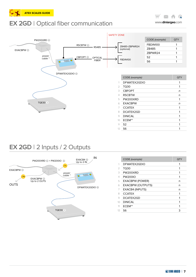





# **EX 2GD** 2 Inputs / 2 Outputs



|           | CODE (example)           | QTY |
|-----------|--------------------------|-----|
| 1         | DFWATEX2GDIO             | 1   |
| 2         | TQ30                     | 1   |
| 3         | PW200XRD                 |     |
| 4         | <b>PW200IO</b>           | 1   |
| 5         | <b>EXACBPW (POWER)</b>   | n   |
| 6         | <b>EXACBPW (OUTPUTS)</b> | n   |
| 7         | <b>EXACB4 (INPUTS)</b>   | n   |
| 8         | <b>CCATEX</b>            |     |
| 9         | DCATEX2GD                | 1   |
| 10        | <b>DINICAL</b>           | 1   |
| 11        | ECEM**                   | 1   |
| $12^{12}$ | S6.                      | 3   |



14

 $\bigoplus$ 

 $\boxtimes$